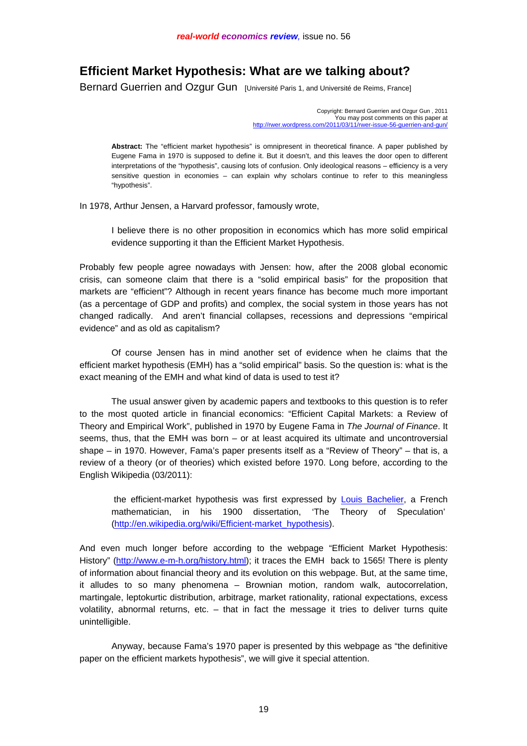# **Efficient Market Hypothesis: What are we talking about?**

Bernard Guerrien and Ozgur Gun [Université Paris 1, and Université de Reims, France]

Copyright: Bernard Guerrien and Ozgur Gun , 2011 You may post comments on this paper at [http://rwer.wordpress.com/2011/03/11/rwer-issue-56-guerrien](http://rwer.wordpress.com/2011/03/09/rwer-issue-56-Guerrien)-and-gun/

**Abstract:** The "efficient market hypothesis" is omnipresent in theoretical finance. A paper published by Eugene Fama in 1970 is supposed to define it. But it doesn't, and this leaves the door open to different interpretations of the "hypothesis", causing lots of confusion. Only ideological reasons – efficiency is a very sensitive question in economies – can explain why scholars continue to refer to this meaningless "hypothesis".

In 1978, Arthur Jensen, a Harvard professor, famously wrote,

I believe there is no other proposition in economics which has more solid empirical evidence supporting it than the Efficient Market Hypothesis.

Probably few people agree nowadays with Jensen: how, after the 2008 global economic crisis, can someone claim that there is a "solid empirical basis" for the proposition that markets are "efficient"? Although in recent years finance has become much more important (as a percentage of GDP and profits) and complex, the social system in those years has not changed radically. And aren't financial collapses, recessions and depressions "empirical evidence" and as old as capitalism?

 Of course Jensen has in mind another set of evidence when he claims that the efficient market hypothesis (EMH) has a "solid empirical" basis. So the question is: what is the exact meaning of the EMH and what kind of data is used to test it?

 The usual answer given by academic papers and textbooks to this question is to refer to the most quoted article in financial economics: "Efficient Capital Markets: a Review of Theory and Empirical Work", published in 1970 by Eugene Fama in *The Journal of Finance*. It seems, thus, that the EMH was born – or at least acquired its ultimate and uncontroversial shape – in 1970. However, Fama's paper presents itself as a "Review of Theory" – that is, a review of a theory (or of theories) which existed before 1970. Long before, according to the English Wikipedia (03/2011):

 the efficient-market hypothesis was first expressed by Louis Bachelier, a French mathematician, in his 1900 dissertation, 'The Theory of Speculation' [\(http://en.wikipedia.org/wiki/Efficient-market\\_hypothesis\)](http://en.wikipedia.org/wiki/Efficient-market_hypothesis).

And even much longer before according to the webpage "Efficient Market Hypothesis: History" [\(http://www.e-m-h.org/history.html\)](http://www.e-m-h.org/history.html); it traces the EMH back to 1565! There is plenty of information about financial theory and its evolution on this webpage. But, at the same time, it alludes to so many phenomena – Brownian motion, random walk, autocorrelation, martingale, leptokurtic distribution, arbitrage, market rationality, rational expectations, excess volatility, abnormal returns, etc. – that in fact the message it tries to deliver turns quite unintelligible.

 Anyway, because Fama's 1970 paper is presented by this webpage as "the definitive paper on the efficient markets hypothesis", we will give it special attention.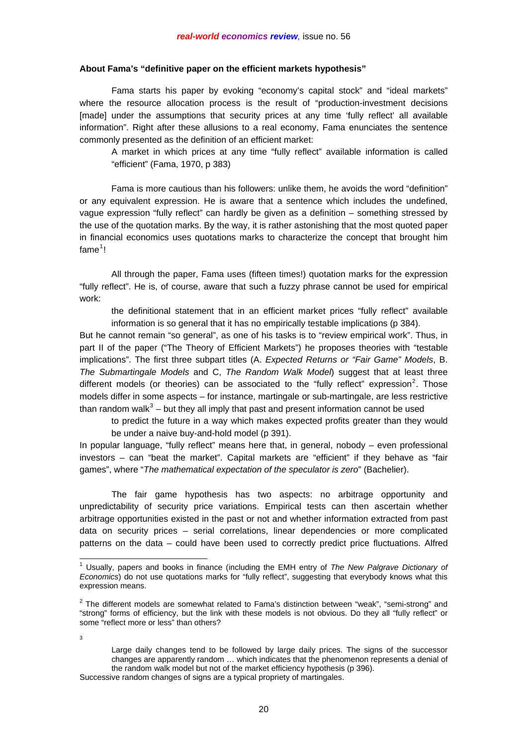## **About Fama's "definitive paper on the efficient markets hypothesis"**

 Fama starts his paper by evoking "economy's capital stock" and "ideal markets" where the resource allocation process is the result of "production-investment decisions [made] under the assumptions that security prices at any time 'fully reflect' all available information". Right after these allusions to a real economy, Fama enunciates the sentence commonly presented as the definition of an efficient market:

A market in which prices at any time "fully reflect" available information is called "efficient" (Fama, 1970, p 383)

 Fama is more cautious than his followers: unlike them, he avoids the word "definition" or any equivalent expression. He is aware that a sentence which includes the undefined, vague expression "fully reflect" can hardly be given as a definition – something stressed by the use of the quotation marks. By the way, it is rather astonishing that the most quoted paper in financial economics uses quotations marks to characterize the concept that brought him fame<sup>[1](#page-1-0)</sup>!

 All through the paper, Fama uses (fifteen times!) quotation marks for the expression "fully reflect". He is, of course, aware that such a fuzzy phrase cannot be used for empirical work:

the definitional statement that in an efficient market prices "fully reflect" available information is so general that it has no empirically testable implications (p 384).

But he cannot remain "so general", as one of his tasks is to "review empirical work". Thus, in part II of the paper ("The Theory of Efficient Markets") he proposes theories with "testable implications". The first three subpart titles (A. *Expected Returns or "Fair Game" Models*, B. *The Submartingale Models* and C, *The Random Walk Model*) suggest that at least three different models (or theories) can be associated to the "fully reflect" expression<sup>[2](#page-1-1)</sup>. Those models differ in some aspects – for instance, martingale or sub-martingale, are less restrictive than random walk $3$  – but they all imply that past and present information cannot be used

to predict the future in a way which makes expected profits greater than they would be under a naive buy-and-hold model (p 391).

In popular language, "fully reflect" means here that, in general, nobody – even professional investors – can "beat the market". Capital markets are "efficient" if they behave as "fair games", where "*The mathematical expectation of the speculator is zero*" (Bachelier).

 The fair game hypothesis has two aspects: no arbitrage opportunity and unpredictability of security price variations. Empirical tests can then ascertain whether arbitrage opportunities existed in the past or not and whether information extracted from past data on security prices – serial correlations, linear dependencies or more complicated patterns on the data – could have been used to correctly predict price fluctuations. Alfred

<span id="page-1-0"></span> 1 Usually, papers and books in finance (including the EMH entry of *The New Palgrave Dictionary of Economics*) do not use quotations marks for "fully reflect", suggesting that everybody knows what this expression means.

<span id="page-1-1"></span> $2$  The different models are somewhat related to Fama's distinction between "weak", "semi-strong" and "strong" forms of efficiency, but the link with these models is not obvious. Do they all "fully reflect" or some "reflect more or less" than others?

<span id="page-1-2"></span><sup>3</sup>

Large daily changes tend to be followed by large daily prices. The signs of the successor changes are apparently random … which indicates that the phenomenon represents a denial of the random walk model but not of the market efficiency hypothesis (p 396). Successive random changes of signs are a typical propriety of martingales.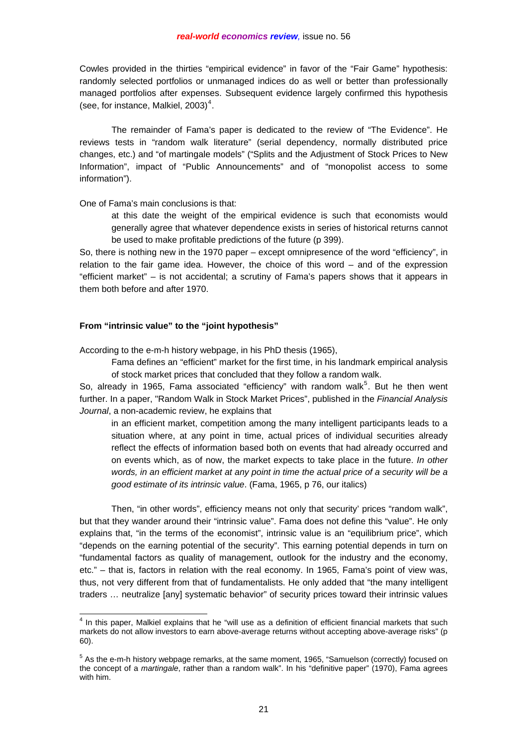Cowles provided in the thirties "empirical evidence" in favor of the "Fair Game" hypothesis: randomly selected portfolios or unmanaged indices do as well or better than professionally managed portfolios after expenses. Subsequent evidence largely confirmed this hypothesis (see, for instance, Malkiel,  $2003)^4$  $2003)^4$ .

 The remainder of Fama's paper is dedicated to the review of "The Evidence". He reviews tests in "random walk literature" (serial dependency, normally distributed price changes, etc.) and "of martingale models" ("Splits and the Adjustment of Stock Prices to New Information", impact of "Public Announcements" and of "monopolist access to some information").

One of Fama's main conclusions is that:

at this date the weight of the empirical evidence is such that economists would generally agree that whatever dependence exists in series of historical returns cannot be used to make profitable predictions of the future (p 399).

So, there is nothing new in the 1970 paper – except omnipresence of the word "efficiency", in relation to the fair game idea. However, the choice of this word – and of the expression "efficient market" – is not accidental; a scrutiny of Fama's papers shows that it appears in them both before and after 1970.

# **From "intrinsic value" to the "joint hypothesis"**

According to the e-m-h history webpage, in his PhD thesis (1965),

Fama defines an "efficient" market for the first time, in his landmark empirical analysis of stock market prices that concluded that they follow a random walk.

So, already in 196[5](#page-2-1), Fama associated "efficiency" with random walk<sup>5</sup>. But he then went further. In a paper, "Random Walk in Stock Market Prices", published in the *Financial Analysis Journal*, a non-academic review, he explains that

in an efficient market, competition among the many intelligent participants leads to a situation where, at any point in time, actual prices of individual securities already reflect the effects of information based both on events that had already occurred and on events which, as of now, the market expects to take place in the future. *In other words, in an efficient market at any point in time the actual price of a security will be a good estimate of its intrinsic value*. (Fama, 1965, p 76, our italics)

 Then, "in other words", efficiency means not only that security' prices "random walk", but that they wander around their "intrinsic value". Fama does not define this "value". He only explains that, "in the terms of the economist", intrinsic value is an "equilibrium price", which "depends on the earning potential of the security". This earning potential depends in turn on "fundamental factors as quality of management, outlook for the industry and the economy, etc." – that is, factors in relation with the real economy. In 1965, Fama's point of view was, thus, not very different from that of fundamentalists. He only added that "the many intelligent traders … neutralize [any] systematic behavior" of security prices toward their intrinsic values

<span id="page-2-0"></span> 4 In this paper, Malkiel explains that he "will use as a definition of efficient financial markets that such markets do not allow investors to earn above-average returns without accepting above-average risks" (p 60).

<span id="page-2-1"></span><sup>&</sup>lt;sup>5</sup> As the e-m-h history webpage remarks, at the same moment, 1965, "Samuelson (correctly) focused on the concept of a *martingale*, rather than a random walk". In his "definitive paper" (1970), Fama agrees with him.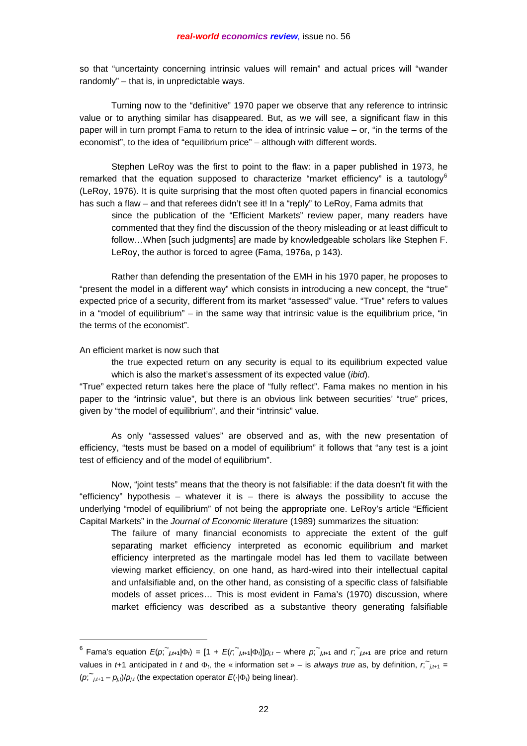so that "uncertainty concerning intrinsic values will remain" and actual prices will "wander randomly" – that is, in unpredictable ways.

 Turning now to the "definitive" 1970 paper we observe that any reference to intrinsic value or to anything similar has disappeared. But, as we will see, a significant flaw in this paper will in turn prompt Fama to return to the idea of intrinsic value – or, "in the terms of the economist", to the idea of "equilibrium price" – although with different words.

 Stephen LeRoy was the first to point to the flaw: in a paper published in 1973, he remarked that the equation supposed to characterize "market efficiency" is a tautology<sup>[6](#page-3-0)</sup> (LeRoy, 1976). It is quite surprising that the most often quoted papers in financial economics has such a flaw – and that referees didn't see it! In a "reply" to LeRoy, Fama admits that

since the publication of the "Efficient Markets" review paper, many readers have commented that they find the discussion of the theory misleading or at least difficult to follow…When [such judgments] are made by knowledgeable scholars like Stephen F. LeRoy, the author is forced to agree (Fama, 1976a, p 143).

 Rather than defending the presentation of the EMH in his 1970 paper, he proposes to "present the model in a different way" which consists in introducing a new concept, the "true" expected price of a security, different from its market "assessed" value. "True" refers to values in a "model of equilibrium" – in the same way that intrinsic value is the equilibrium price, "in the terms of the economist".

## An efficient market is now such that

 $\overline{a}$ 

the true expected return on any security is equal to its equilibrium expected value which is also the market's assessment of its expected value (*ibid*).

"True" expected return takes here the place of "fully reflect". Fama makes no mention in his paper to the "intrinsic value", but there is an obvious link between securities' "true" prices, given by "the model of equilibrium", and their "intrinsic" value.

 As only "assessed values" are observed and as, with the new presentation of efficiency, "tests must be based on a model of equilibrium" it follows that "any test is a joint test of efficiency and of the model of equilibrium".

 Now, "joint tests" means that the theory is not falsifiable: if the data doesn't fit with the "efficiency" hypothesis – whatever it is – there is always the possibility to accuse the underlying "model of equilibrium" of not being the appropriate one. LeRoy's article "Efficient Capital Markets" in the *Journal of Economic literature* (1989) summarizes the situation:

The failure of many financial economists to appreciate the extent of the gulf separating market efficiency interpreted as economic equilibrium and market efficiency interpreted as the martingale model has led them to vacillate between viewing market efficiency, on one hand, as hard-wired into their intellectual capital and unfalsifiable and, on the other hand, as consisting of a specific class of falsifiable models of asset prices… This is most evident in Fama's (1970) discussion, where market efficiency was described as a substantive theory generating falsifiable

<span id="page-3-0"></span><sup>&</sup>lt;sup>6</sup> Fama's equation  $E(p; \tilde{h}_{j,t+1}|\Phi_i) = [1 + E(r; \tilde{h}_{j,t+1}|\Phi_i)]p_{j,t}$  where  $p; \tilde{h}_{j,t+1}$  and  $r; \tilde{h}_{j,t+1}$  are price and return values in *t*+1 anticipated in *t* and  $\Phi_t$ , the « information set » – is *always true* as, by definition,  $r$ ,  $\tilde{r}_{j,t+1}$  = (*p*; <sup>~</sup>*j,t*+1 – *pj,t*)/*pj,t* (the expectation operator *E*(⋅|Φ*t*) being linear).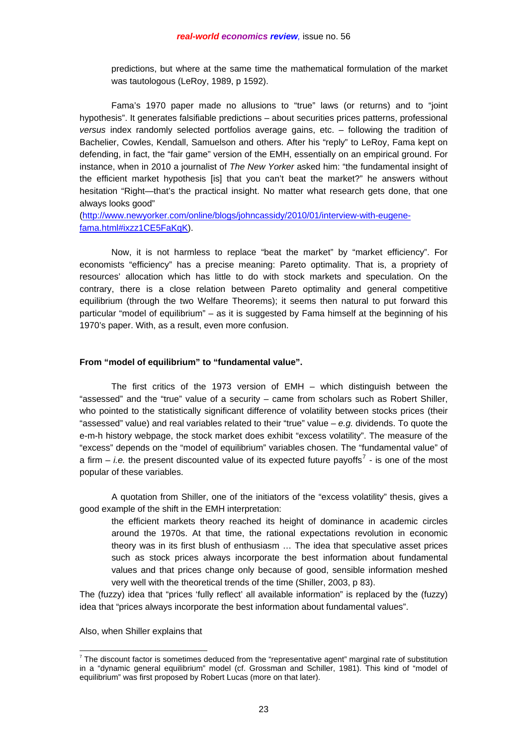predictions, but where at the same time the mathematical formulation of the market was tautologous (LeRoy, 1989, p 1592).

 Fama's 1970 paper made no allusions to "true" laws (or returns) and to "joint hypothesis". It generates falsifiable predictions – about securities prices patterns, professional *versus* index randomly selected portfolios average gains, etc. – following the tradition of Bachelier, Cowles, Kendall, Samuelson and others. After his "reply" to LeRoy, Fama kept on defending, in fact, the "fair game" version of the EMH, essentially on an empirical ground. For instance, when in 2010 a journalist of *The New Yorker* asked him: "the fundamental insight of the efficient market hypothesis [is] that you can't beat the market?" he answers without hesitation "Right—that's the practical insight. No matter what research gets done, that one always looks good"

[\(http://www.newyorker.com/online/blogs/johncassidy/2010/01/interview-with-eugene](http://www.newyorker.com/online/blogs/johncassidy/2010/01/interview-with-eugene-fama.html#ixzz1CE5FaKqK)[fama.html#ixzz1CE5FaKqK](http://www.newyorker.com/online/blogs/johncassidy/2010/01/interview-with-eugene-fama.html#ixzz1CE5FaKqK)).

 Now, it is not harmless to replace "beat the market" by "market efficiency". For economists "efficiency" has a precise meaning: Pareto optimality. That is, a propriety of resources' allocation which has little to do with stock markets and speculation. On the contrary, there is a close relation between Pareto optimality and general competitive equilibrium (through the two Welfare Theorems); it seems then natural to put forward this particular "model of equilibrium" – as it is suggested by Fama himself at the beginning of his 1970's paper. With, as a result, even more confusion.

### **From "model of equilibrium" to "fundamental value".**

 The first critics of the 1973 version of EMH – which distinguish between the "assessed" and the "true" value of a security – came from scholars such as Robert Shiller, who pointed to the statistically significant difference of volatility between stocks prices (their "assessed" value) and real variables related to their "true" value – *e.g.* dividends. To quote the e-m-h history webpage, the stock market does exhibit "excess volatility". The measure of the "excess" depends on the "model of equilibrium" variables chosen. The "fundamental value" of a firm  $-$  *i.e.* the present discounted value of its expected future payoffs<sup>[7](#page-4-0)</sup> - is one of the most popular of these variables.

 A quotation from Shiller, one of the initiators of the "excess volatility" thesis, gives a good example of the shift in the EMH interpretation:

the efficient markets theory reached its height of dominance in academic circles around the 1970s. At that time, the rational expectations revolution in economic theory was in its first blush of enthusiasm … The idea that speculative asset prices such as stock prices always incorporate the best information about fundamental values and that prices change only because of good, sensible information meshed very well with the theoretical trends of the time (Shiller, 2003, p 83).

The (fuzzy) idea that "prices 'fully reflect' all available information" is replaced by the (fuzzy) idea that "prices always incorporate the best information about fundamental values".

Also, when Shiller explains that

 $\overline{a}$ 

<span id="page-4-0"></span> $7$  The discount factor is sometimes deduced from the "representative agent" marginal rate of substitution in a "dynamic general equilibrium" model (cf. Grossman and Schiller, 1981). This kind of "model of equilibrium" was first proposed by Robert Lucas (more on that later).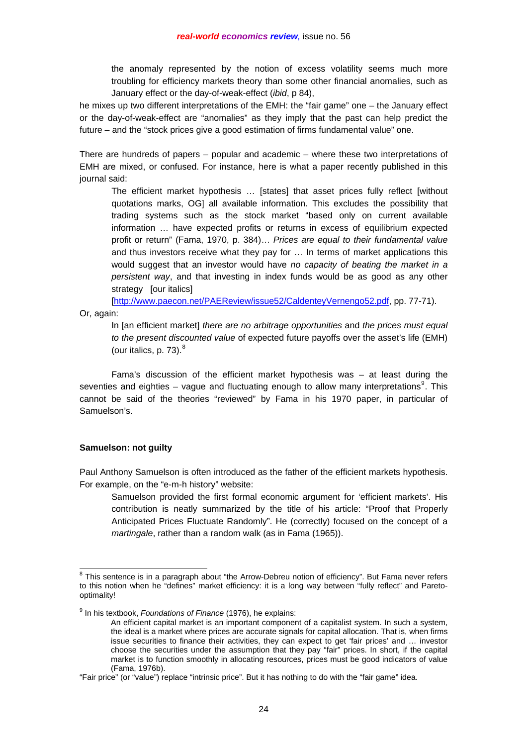the anomaly represented by the notion of excess volatility seems much more troubling for efficiency markets theory than some other financial anomalies, such as January effect or the day-of-weak-effect (*ibid*, p 84),

he mixes up two different interpretations of the EMH: the "fair game" one – the January effect or the day-of-weak-effect are "anomalies" as they imply that the past can help predict the future – and the "stock prices give a good estimation of firms fundamental value" one.

There are hundreds of papers – popular and academic – where these two interpretations of EMH are mixed, or confused. For instance, here is what a paper recently published in this journal said:

The efficient market hypothesis ... [states] that asset prices fully reflect [without] quotations marks, OG] all available information. This excludes the possibility that trading systems such as the stock market "based only on current available information … have expected profits or returns in excess of equilibrium expected profit or return" (Fama, 1970, p. 384)… *Prices are equal to their fundamental value* and thus investors receive what they pay for … In terms of market applications this would suggest that an investor would have *no capacity of beating the market in a persistent way*, and that investing in index funds would be as good as any other strategy [our italics]

[<http://www.paecon.net/PAEReview/issue52/CaldenteyVernengo52.pdf>, pp. 77-71).

Or, again:

In [an efficient market] *there are no arbitrage opportunities* and *the prices must equal to the present discounted value* of expected future payoffs over the asset's life (EMH) (our italics, p. 73). $8$ 

 Fama's discussion of the efficient market hypothesis was – at least during the seventies and eighties – vague and fluctuating enough to allow many interpretations<sup>[9](#page-5-1)</sup>. This cannot be said of the theories "reviewed" by Fama in his 1970 paper, in particular of Samuelson's.

# **Samuelson: not guilty**

Paul Anthony Samuelson is often introduced as the father of the efficient markets hypothesis. For example, on the "e-m-h history" website:

Samuelson provided the first formal economic argument for 'efficient markets'. His contribution is neatly summarized by the title of his article: "Proof that Properly Anticipated Prices Fluctuate Randomly". He (correctly) focused on the concept of a *martingale*, rather than a random walk (as in Fama (1965)).

<span id="page-5-0"></span> 8 This sentence is in a paragraph about "the Arrow-Debreu notion of efficiency". But Fama never refers to this notion when he "defines" market efficiency: it is a long way between "fully reflect" and Paretooptimality!

<span id="page-5-1"></span><sup>9</sup> In his textbook, *Foundations of Finance* (1976), he explains:

An efficient capital market is an important component of a capitalist system. In such a system, the ideal is a market where prices are accurate signals for capital allocation. That is, when firms issue securities to finance their activities, they can expect to get 'fair prices' and … investor choose the securities under the assumption that they pay "fair" prices. In short, if the capital market is to function smoothly in allocating resources, prices must be good indicators of value (Fama, 1976b).

<sup>&</sup>quot;Fair price" (or "value") replace "intrinsic price". But it has nothing to do with the "fair game" idea.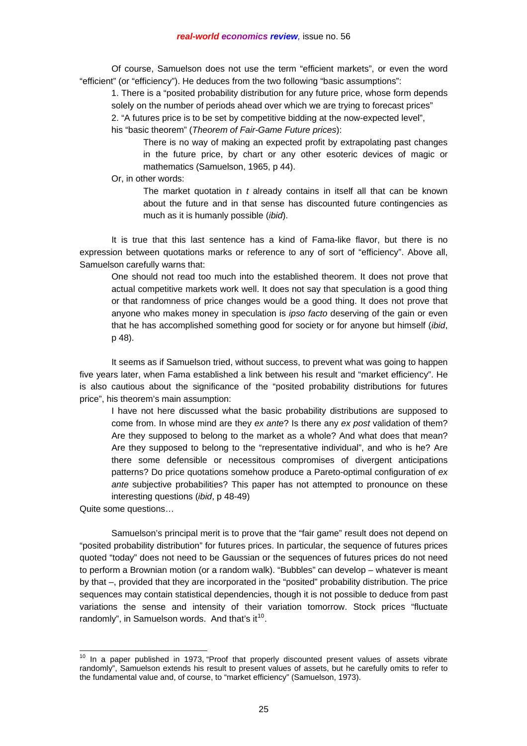Of course, Samuelson does not use the term "efficient markets", or even the word "efficient" (or "efficiency"). He deduces from the two following "basic assumptions":

1. There is a "posited probability distribution for any future price, whose form depends solely on the number of periods ahead over which we are trying to forecast prices"

2. "A futures price is to be set by competitive bidding at the now-expected level",

his "basic theorem" (*Theorem of Fair-Game Future prices*):

There is no way of making an expected profit by extrapolating past changes in the future price, by chart or any other esoteric devices of magic or mathematics (Samuelson, 1965, p 44).

Or, in other words:

The market quotation in *t* already contains in itself all that can be known about the future and in that sense has discounted future contingencies as much as it is humanly possible (*ibid*).

 It is true that this last sentence has a kind of Fama-like flavor, but there is no expression between quotations marks or reference to any of sort of "efficiency". Above all, Samuelson carefully warns that:

One should not read too much into the established theorem. It does not prove that actual competitive markets work well. It does not say that speculation is a good thing or that randomness of price changes would be a good thing. It does not prove that anyone who makes money in speculation is *ipso facto* deserving of the gain or even that he has accomplished something good for society or for anyone but himself (*ibid*, p 48).

 It seems as if Samuelson tried, without success, to prevent what was going to happen five years later, when Fama established a link between his result and "market efficiency". He is also cautious about the significance of the "posited probability distributions for futures price", his theorem's main assumption:

I have not here discussed what the basic probability distributions are supposed to come from. In whose mind are they *ex ante*? Is there any *ex post* validation of them? Are they supposed to belong to the market as a whole? And what does that mean? Are they supposed to belong to the "representative individual", and who is he? Are there some defensible or necessitous compromises of divergent anticipations patterns? Do price quotations somehow produce a Pareto-optimal configuration of *ex ante* subjective probabilities? This paper has not attempted to pronounce on these interesting questions (*ibid*, p 48-49)

Quite some questions…

 $\overline{a}$ 

 Samuelson's principal merit is to prove that the "fair game" result does not depend on "posited probability distribution" for futures prices. In particular, the sequence of futures prices quoted "today" does not need to be Gaussian or the sequences of futures prices do not need to perform a Brownian motion (or a random walk). "Bubbles" can develop – whatever is meant by that –, provided that they are incorporated in the "posited" probability distribution. The price sequences may contain statistical dependencies, though it is not possible to deduce from past variations the sense and intensity of their variation tomorrow. Stock prices "fluctuate randomly", in Samuelson words. And that's it $^{10}$  $^{10}$  $^{10}$ .

<span id="page-6-0"></span> $10$  In a paper published in 1973, "Proof that properly discounted present values of assets vibrate randomly", Samuelson extends his result to present values of assets, but he carefully omits to refer to the fundamental value and, of course, to "market efficiency" (Samuelson, 1973).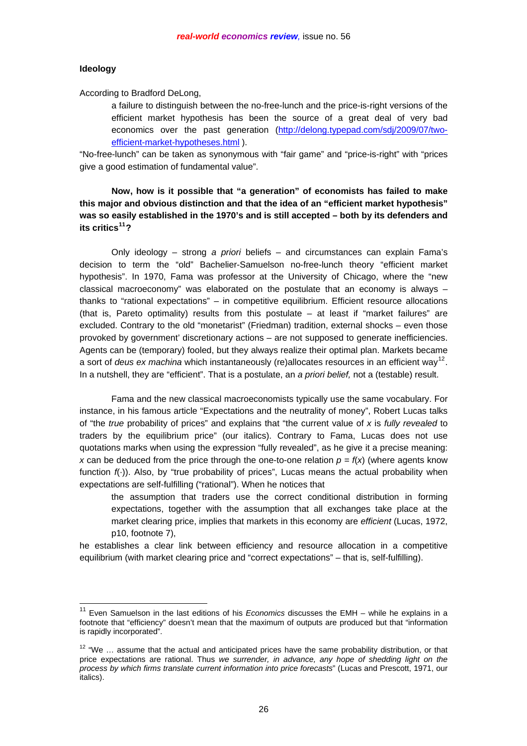## **Ideology**

l

According to Bradford DeLong,

a failure to distinguish between the no-free-lunch and the price-is-right versions of the efficient market hypothesis has been the source of a great deal of very bad economics over the past generation [\(http://delong.typepad.com/sdj/2009/07/two](http://delong.typepad.com/sdj/2009/07/two-efficient-market-hypotheses.html)[efficient-market-hypotheses.html](http://delong.typepad.com/sdj/2009/07/two-efficient-market-hypotheses.html) ).

"No-free-lunch" can be taken as synonymous with "fair game" and "price-is-right" with "prices give a good estimation of fundamental value".

**Now, how is it possible that "a generation" of economists has failed to make this major and obvious distinction and that the idea of an "efficient market hypothesis" was so easily established in the 1970's and is still accepted – both by its defenders and its critics[11](#page-7-0)?** 

 Only ideology – strong *a priori* beliefs – and circumstances can explain Fama's decision to term the "old" Bachelier-Samuelson no-free-lunch theory "efficient market hypothesis". In 1970, Fama was professor at the University of Chicago, where the "new classical macroeconomy" was elaborated on the postulate that an economy is always – thanks to "rational expectations" – in competitive equilibrium. Efficient resource allocations (that is, Pareto optimality) results from this postulate – at least if "market failures" are excluded. Contrary to the old "monetarist" (Friedman) tradition, external shocks – even those provoked by government' discretionary actions – are not supposed to generate inefficiencies. Agents can be (temporary) fooled, but they always realize their optimal plan. Markets became a sort of *deus ex machina* which instantaneously (re)allocates resources in an efficient way[12](#page-7-1). In a nutshell, they are "efficient". That is a postulate, an *a priori belief,* not a (testable) result.

 Fama and the new classical macroeconomists typically use the same vocabulary. For instance, in his famous article "Expectations and the neutrality of money", Robert Lucas talks of "the *true* probability of prices" and explains that "the current value of *x* is *fully revealed* to traders by the equilibrium price" (our italics). Contrary to Fama, Lucas does not use quotations marks when using the expression "fully revealed", as he give it a precise meaning: *x* can be deduced from the price through the one-to-one relation  $p = f(x)$  (where agents know function  $f(\cdot)$ ). Also, by "true probability of prices", Lucas means the actual probability when expectations are self-fulfilling ("rational"). When he notices that

the assumption that traders use the correct conditional distribution in forming expectations, together with the assumption that all exchanges take place at the market clearing price, implies that markets in this economy are *efficient* (Lucas, 1972, p10, footnote 7),

he establishes a clear link between efficiency and resource allocation in a competitive equilibrium (with market clearing price and "correct expectations" – that is, self-fulfilling).

<span id="page-7-0"></span><sup>&</sup>lt;sup>11</sup> Even Samuelson in the last editions of his *Economics* discusses the EMH – while he explains in a footnote that "efficiency" doesn't mean that the maximum of outputs are produced but that "information is rapidly incorporated".

<span id="page-7-1"></span> $12$  "We ... assume that the actual and anticipated prices have the same probability distribution, or that price expectations are rational. Thus *we surrender, in advance, any hope of shedding light on the process by which firms translate current information into price forecasts*" (Lucas and Prescott, 1971, our italics).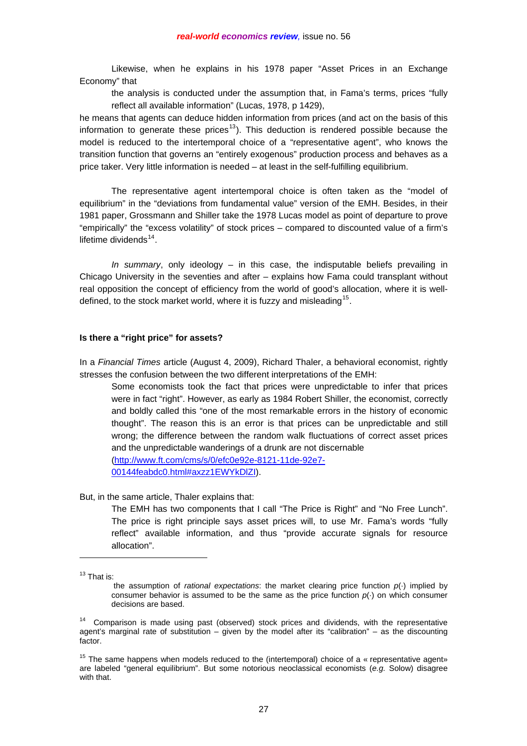Likewise, when he explains in his 1978 paper "Asset Prices in an Exchange Economy" that

the analysis is conducted under the assumption that, in Fama's terms, prices "fully reflect all available information" (Lucas, 1978, p 1429),

he means that agents can deduce hidden information from prices (and act on the basis of this information to generate these prices<sup>[13](#page-8-0)</sup>). This deduction is rendered possible because the model is reduced to the intertemporal choice of a "representative agent", who knows the transition function that governs an "entirely exogenous" production process and behaves as a price taker. Very little information is needed – at least in the self-fulfilling equilibrium.

 The representative agent intertemporal choice is often taken as the "model of equilibrium" in the "deviations from fundamental value" version of the EMH. Besides, in their 1981 paper, Grossmann and Shiller take the 1978 Lucas model as point of departure to prove "empirically" the "excess volatility" of stock prices – compared to discounted value of a firm's lifetime dividends $14$ .

 *In summary*, only ideology – in this case, the indisputable beliefs prevailing in Chicago University in the seventies and after – explains how Fama could transplant without real opposition the concept of efficiency from the world of good's allocation, where it is well-defined, to the stock market world, where it is fuzzy and misleading<sup>[15](#page-8-2)</sup>.

### **Is there a "right price" for assets?**

In a *Financial Times* article (August 4, 2009), Richard Thaler, a behavioral economist, rightly stresses the confusion between the two different interpretations of the EMH:

Some economists took the fact that prices were unpredictable to infer that prices were in fact "right". However, as early as 1984 Robert Shiller, the economist, correctly and boldly called this "one of the most remarkable errors in the history of economic thought". The reason this is an error is that prices can be unpredictable and still wrong; the difference between the random walk fluctuations of correct asset prices and the unpredictable wanderings of a drunk are not discernable [\(http://www.ft.com/cms/s/0/efc0e92e-8121-11de-92e7-](http://www.ft.com/cms/s/0/efc0e92e-8121-11de-92e7-00144feabdc0.html#axzz1EWYkDlZI) [00144feabdc0.html#axzz1EWYkDlZI\)](http://www.ft.com/cms/s/0/efc0e92e-8121-11de-92e7-00144feabdc0.html#axzz1EWYkDlZI).

But, in the same article, Thaler explains that:

The EMH has two components that I call "The Price is Right" and "No Free Lunch". The price is right principle says asset prices will, to use Mr. Fama's words "fully reflect" available information, and thus "provide accurate signals for resource allocation".

<span id="page-8-0"></span><sup>13</sup> That is:

 $\overline{a}$ 

the assumption of *rational expectations*: the market clearing price function *p*(·) implied by consumer behavior is assumed to be the same as the price function *p*(·) on which consumer decisions are based.

<span id="page-8-1"></span><sup>&</sup>lt;sup>14</sup> Comparison is made using past (observed) stock prices and dividends, with the representative agent's marginal rate of substitution – given by the model after its "calibration" – as the discounting factor.

<span id="page-8-2"></span><sup>&</sup>lt;sup>15</sup> The same happens when models reduced to the (intertemporal) choice of a « representative agent» are labeled "general equilibrium". But some notorious neoclassical economists (*e.g.* Solow) disagree with that.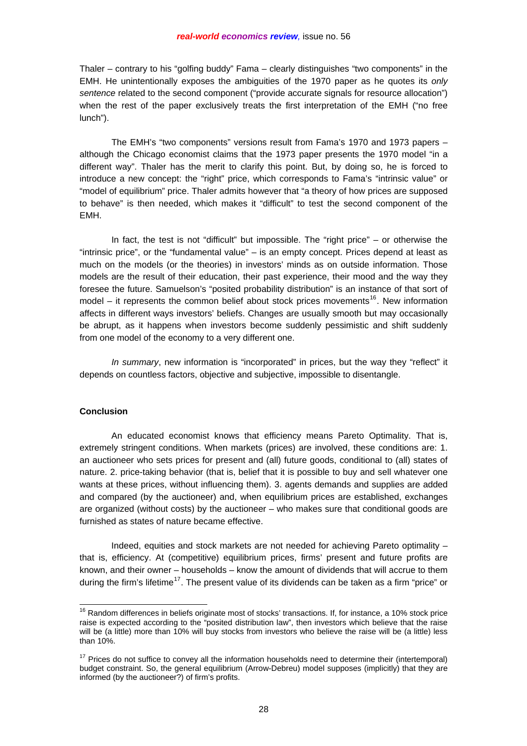Thaler – contrary to his "golfing buddy" Fama – clearly distinguishes "two components" in the EMH. He unintentionally exposes the ambiguities of the 1970 paper as he quotes its *only sentence* related to the second component ("provide accurate signals for resource allocation") when the rest of the paper exclusively treats the first interpretation of the EMH ("no free lunch").

 The EMH's "two components" versions result from Fama's 1970 and 1973 papers – although the Chicago economist claims that the 1973 paper presents the 1970 model "in a different way". Thaler has the merit to clarify this point. But, by doing so, he is forced to introduce a new concept: the "right" price, which corresponds to Fama's "intrinsic value" or "model of equilibrium" price. Thaler admits however that "a theory of how prices are supposed to behave" is then needed, which makes it "difficult" to test the second component of the EMH.

 In fact, the test is not "difficult" but impossible. The "right price" – or otherwise the "intrinsic price", or the "fundamental value" – is an empty concept. Prices depend at least as much on the models (or the theories) in investors' minds as on outside information. Those models are the result of their education, their past experience, their mood and the way they foresee the future. Samuelson's "posited probability distribution" is an instance of that sort of model – it represents the common belief about stock prices movements<sup>[16](#page-9-0)</sup>. New information affects in different ways investors' beliefs. Changes are usually smooth but may occasionally be abrupt, as it happens when investors become suddenly pessimistic and shift suddenly from one model of the economy to a very different one.

 *In summary*, new information is "incorporated" in prices, but the way they "reflect" it depends on countless factors, objective and subjective, impossible to disentangle.

## **Conclusion**

 $\overline{a}$ 

 An educated economist knows that efficiency means Pareto Optimality. That is, extremely stringent conditions. When markets (prices) are involved, these conditions are: 1. an auctioneer who sets prices for present and (all) future goods, conditional to (all) states of nature. 2. price-taking behavior (that is, belief that it is possible to buy and sell whatever one wants at these prices, without influencing them). 3. agents demands and supplies are added and compared (by the auctioneer) and, when equilibrium prices are established, exchanges are organized (without costs) by the auctioneer – who makes sure that conditional goods are furnished as states of nature became effective.

 Indeed, equities and stock markets are not needed for achieving Pareto optimality – that is, efficiency. At (competitive) equilibrium prices, firms' present and future profits are known, and their owner – households – know the amount of dividends that will accrue to them during the firm's lifetime<sup>[17](#page-9-1)</sup>. The present value of its dividends can be taken as a firm "price" or

<span id="page-9-0"></span> $16$  Random differences in beliefs originate most of stocks' transactions. If, for instance, a 10% stock price raise is expected according to the "posited distribution law", then investors which believe that the raise will be (a little) more than 10% will buy stocks from investors who believe the raise will be (a little) less than 10%.

<span id="page-9-1"></span> $17$  Prices do not suffice to convey all the information households need to determine their (intertemporal) budget constraint. So, the general equilibrium (Arrow-Debreu) model supposes (implicitly) that they are informed (by the auctioneer?) of firm's profits.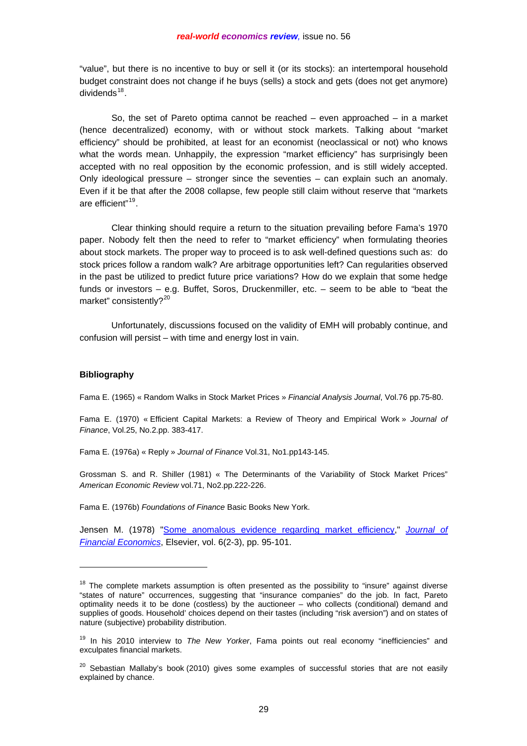"value", but there is no incentive to buy or sell it (or its stocks): an intertemporal household budget constraint does not change if he buys (sells) a stock and gets (does not get anymore) dividends $18$ .

So, the set of Pareto optima cannot be reached – even approached – in a market (hence decentralized) economy, with or without stock markets. Talking about "market efficiency" should be prohibited, at least for an economist (neoclassical or not) who knows what the words mean. Unhappily, the expression "market efficiency" has surprisingly been accepted with no real opposition by the economic profession, and is still widely accepted. Only ideological pressure – stronger since the seventies – can explain such an anomaly. Even if it be that after the 2008 collapse, few people still claim without reserve that "markets are efficient"[19](#page-10-1).

 Clear thinking should require a return to the situation prevailing before Fama's 1970 paper. Nobody felt then the need to refer to "market efficiency" when formulating theories about stock markets. The proper way to proceed is to ask well-defined questions such as: do stock prices follow a random walk? Are arbitrage opportunities left? Can regularities observed in the past be utilized to predict future price variations? How do we explain that some hedge funds or investors – e.g. Buffet, Soros, Druckenmiller, etc. – seem to be able to "beat the market" consistently?<sup>[20](#page-10-2)</sup>

 Unfortunately, discussions focused on the validity of EMH will probably continue, and confusion will persist – with time and energy lost in vain.

### **Bibliography**

l

Fama E. (1965) « Random Walks in Stock Market Prices » *Financial Analysis Journal*, Vol.76 pp.75-80.

Fama E. (1970) « Efficient Capital Markets: a Review of Theory and Empirical Work » *Journal of Finance*, Vol.25, No.2.pp. 383-417.

Fama E. (1976a) « Reply » *Journal of Finance* Vol.31, No1.pp143-145.

Grossman S. and R. Shiller (1981) « The Determinants of the Variability of Stock Market Prices" *American Economic Review* vol.71, No2.pp.222-226.

Fama E. (1976b) *Foundations of Finance* Basic Books New York.

Jensen M. (1978) ["Some anomalous evidence regarding market efficiency](http://ideas.repec.org/a/eee/jfinec/v6y1978i2-3p95-101.html)," *[Journal of](http://ideas.repec.org/s/eee/jfinec.html)  [Financial Economics](http://ideas.repec.org/s/eee/jfinec.html)*, Elsevier, vol. 6(2-3), pp. 95-101.

<span id="page-10-0"></span> $18$  The complete markets assumption is often presented as the possibility to "insure" against diverse "states of nature" occurrences, suggesting that "insurance companies" do the job. In fact, Pareto optimality needs it to be done (costless) by the auctioneer – who collects (conditional) demand and supplies of goods. Household' choices depend on their tastes (including "risk aversion") and on states of nature (subjective) probability distribution.

<span id="page-10-1"></span><sup>19</sup> In his 2010 interview to *The New Yorker*, Fama points out real economy "inefficiencies" and exculpates financial markets.

<span id="page-10-2"></span> $20$  Sebastian Mallaby's book (2010) gives some examples of successful stories that are not easily explained by chance.